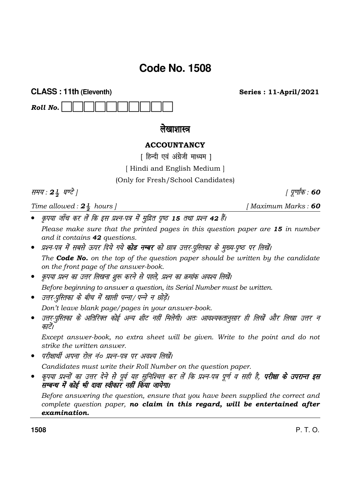# **Code No. 1508**

Roll No.

लेखाशास्त्र

**ACCOUNTANCY** 

[ हिन्दी एवं अंग्रेजी माध्यम ]

[Hindi and English Medium]

(Only for Fresh/School Candidates)

समय: 24 घण्टे |

Time allowed :  $2\frac{1}{2}$  hours ]

**CLASS: 11th (Eleventh)** 

*I Maximum Marks*: 60

**Series: 11-April/2021** 

- कृपया जाँच कर लें कि इस प्रश्न-पत्र में मुद्रित पृष्ठ 15 तथा प्रश्न 42 हैं। Please make sure that the printed pages in this question paper are 15 in number and it contains 42 questions.
- प्रश्न-पत्र में सबसे ऊपर दिये गये **कोड नम्बर** को छात्र उत्तर-पुस्तिका के मुख्य-पृष्ठ पर लिखें। The **Code No.** on the top of the question paper should be written by the candidate on the front page of the answer-book.
- कृपया प्रश्न का उत्तर लिखना शुरू करने से पहले, प्रश्न का क्रमांक अवश्य लिखें। Before beginning to answer a question, its Serial Number must be written.
- उत्तर-पुस्तिका के बीच में खाली पन्ना/ पन्ने न छोड़ें।

Don't leave blank page/pages in your answer-book.

उत्तर-पुस्तिका के अतिरिक्त कोई अन्य शीट नहीं मिलेगी। अतः आवश्यकतानुसार ही लिखें और लिखा उत्तर न काटें।

Except answer-book, no extra sheet will be given. Write to the point and do not strike the written answer.

• परीक्षार्थी अपना रोल नं० प्रश्न-पत्र पर अवश्य लिखें।

Candidates must write their Roll Number on the question paper.

कृपया प्रश्नों का उत्तर देने से पूर्व यह सुनिश्चित कर लें कि प्रश्न-पत्र पूर्ण व सही है, **परीक्षा के उपरान्त इस** सम्बन्ध में कोई भी दावा स्वीकार नहीं किया जायेगा।

Before answering the question, ensure that you have been supplied the correct and complete question paper, no claim in this regard, will be entertained after examination.

1508

 $P, T, O.$ 

*। पुर्णांक* : 60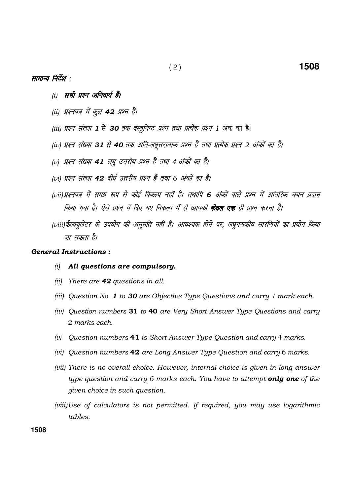## सामान्य निर्देश :

- (i) सभी प्रश्न अनिवार्य हैं।
- (ii) प्रश्नपत्र में कूल 42 प्रश्न हैं।
- (iii) प्रश्न संख्या 1 से 30 तक वस्तूनिष्ठ प्रश्न तथा प्रत्येक प्रश्न 1 अंक का है।
- (iv) प्रश्न संख्या 31 से 40 तक अति-लघुत्तरात्मक प्रश्न हैं तथा प्रत्येक प्रश्न 2 अंकों का है।
- (v) प्रश्न संख्या 41 लघु उत्तरीय प्रश्न हैं तथा 4 अंकों का है।
- (vi) प्रश्न संख्या 42 दीर्घ उत्तरीय प्रश्न हैं तथा 6 अंकों का है।
- (vii) प्रश्नपत्र में समग्र रूप से कोई विकल्प नहीं है। तथापि 6 अंकों वाले प्रश्न में आंतरिक चयन प्रदान किया गया है। ऐसे प्रश्न में दिए गए विकल्प में से आपको **केवल एक** ही प्रश्न करना है।
- (viii)कैल्क्यूलेटर के उपयोग की अनुमति नहीं है। आवश्यक होने पर, लघुगणकीय सारणियों का प्रयोग किया जा सकता है।

## General Instructions :

- (i) All questions are compulsory.
- (ii) There are  $42$  questions in all.
- (iii) Question No. 1 to 30 are Objective Type Questions and carry 1 mark each.
- (iv) Question numbers 31 to 40 are Very Short Answer Type Questions and carry 2 marks each.
- (v) Question numbers  $41$  is Short Answer Type Question and carry 4 marks.
- (vi) Question numbers 42 are Long Answer Type Question and carry 6 marks.
- (vii) There is no overall choice. However, internal choice is given in long answer type question and carry 6 marks each. You have to attempt only one of the given choice in such question.
- (viii) Use of calculators is not permitted. If required, you may use logarithmic tables.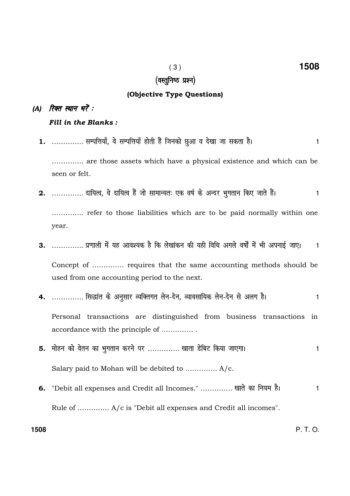## (वस्तुनिष्ठ प्रश्न)

## (Objective Type Questions)

## (A) रिक्त स्थान भरें :

Fill in the Blanks:

- 1. .............. सम्पत्तियाँ, वे सम्पत्तियाँ होती हैं जिनको छुआ व देखा जा सकता है।  $\mathbf{1}$ .............. are those assets which have a physical existence and which can be seen or felt.
- 2. .............. दायित्व, वे दायित्व हैं जो सामान्यतः एक वर्ष के अन्दर भुगतान किए जाते हैं।  $\mathbf{1}$ ............... refer to those liabilities which are to be paid normally within one year.
- 3. .............. प्रणाली में यह आवश्यक है कि लेखांकन की यही विधि अगले वर्षों में भी अपनाई जाए।  $\overline{1}$

Concept of ............... requires that the same accounting methods should be used from one accounting period to the next.

- 4. .............. सिद्धांत के अनुसार व्यक्तिगत लेन-देन, व्यावसायिक लेन-देन से अलग है।  $\mathbf{1}$ Personal transactions are distinguished from business transactions in accordance with the principle of ...............
- 5. मोहन को वेतन का भुगतान करने पर .............. खाता डेबिट किया जाएगा।  $\mathbf{1}$ Salary paid to Mohan will be debited to .............. A/c.
- "Debit all expenses and Credit all Incomes." .............. खाते का नियम है।  $\mathbf{1}$ 6. Rule of .............. A/c is "Debit all expenses and Credit all incomes".

1508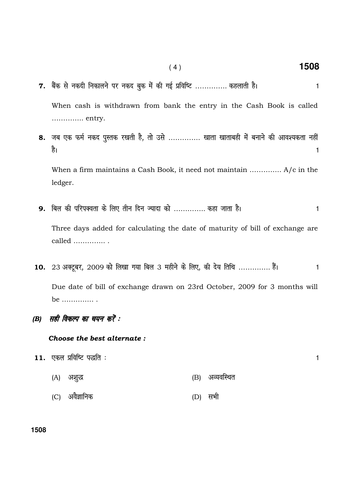$7.$  बैंक से नकदी निकालने पर नकद बुक में की गई प्रविष्टि ………….. कहलाती है।  $\,$ 

When cash is withdrawn from bank the entry in the Cash Book is called ………….. entry.

8. जब एक फर्म नकद पुस्तक रखती है, तो उसे ………….. खाता खाताबही में बनाने की आवश्यकता नहीं है।  $\frac{1}{\sqrt{2}}$ ।

When a firm maintains a Cash Book, it need not maintain ………….. A/c in the ledger.

 $9.$  बिल की परिपक्वता के लिए तीन दिन ज्यादा को ………….. कहा जाता है।  $\,$ 

Three days added for calculating the date of maturity of bill of exchange are called ………….. .

- 10. 23 अक्टूबर, 2009 को लिखा गया बिल 3 महीने के लिए, की देय तिथि …………… हैं।  $\,$ Due date of bill of exchange drawn on 23rd October, 2009 for 3 months will be ………….. .
- (B) सही विकल्प का चयन करें :

Choose the best alternate :

- $11.$  एकल प्रविष्टि पद्धति :  $\hspace{1.5cm}$ 
	- (A) v'k q) (B) vO;ofLFkr
	- (C) vo SKkfud (D) lHkh

## **1508**

( 4 ) **1508**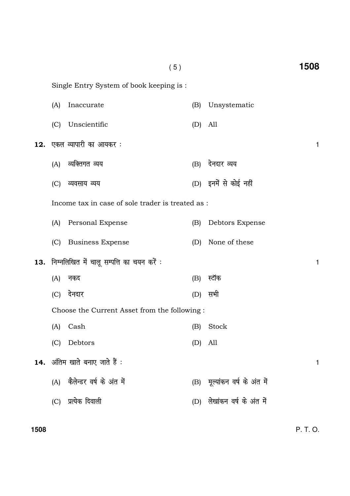|     |                                              | (5)                                               |           |                               | 1508 |
|-----|----------------------------------------------|---------------------------------------------------|-----------|-------------------------------|------|
|     | Single Entry System of book keeping is:      |                                                   |           |                               |      |
|     | (A)                                          | Inaccurate                                        | (B)       | Unsystematic                  |      |
|     | (C)                                          | Unscientific                                      | (D)       | All                           |      |
| 12. |                                              | एकल व्यापारी का आयकर :                            |           |                               | 1    |
|     | (A)                                          | व्यक्तिगत व्यय                                    | (B)       | देनदार व्यय                   |      |
|     | (C)                                          | व्यवसाय व्यय                                      |           | (D) इनमें से कोई नहीं         |      |
|     |                                              | Income tax in case of sole trader is treated as : |           |                               |      |
|     |                                              | (A) Personal Expense                              | (B)       | Debtors Expense               |      |
|     | (C)                                          | <b>Business Expense</b>                           | (D)       | None of these                 |      |
| 13. |                                              | निम्नलिखित में चालू सम्पत्ति का चयन करें :        |           |                               | 1    |
|     | (A)                                          | नकद                                               | (B)       | स्टॉक                         |      |
|     | (C)                                          | देनदार                                            | (D)       | सभी                           |      |
|     | Choose the Current Asset from the following: |                                                   |           |                               |      |
|     | (A)                                          | Cash                                              | (B)       | Stock                         |      |
|     | (C)                                          | Debtors                                           | $(D)$ All |                               |      |
|     |                                              | 14. अंतिम खाते बनाए जाते हैं :                    |           |                               | 1    |
|     |                                              | (A) कैलेन्डर वर्ष के अंत में                      |           | (B) मूल्यांकन वर्ष के अंत में |      |
|     |                                              | (C) प्रत्येक दिवाली                               |           | (D) लेखांकन वर्ष के अंत में   |      |
|     |                                              |                                                   |           |                               |      |

# 1508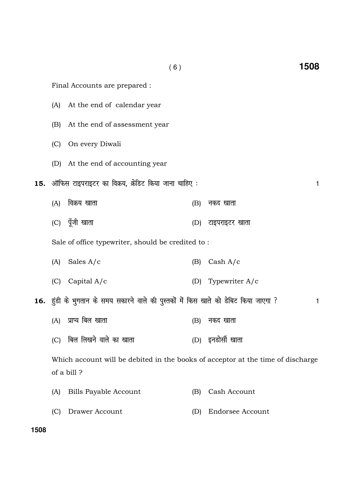|     |                                                                                               | (6)                                                                                   |     | 1508                    |
|-----|-----------------------------------------------------------------------------------------------|---------------------------------------------------------------------------------------|-----|-------------------------|
|     |                                                                                               | Final Accounts are prepared :                                                         |     |                         |
|     | (A)                                                                                           | At the end of calendar year                                                           |     |                         |
|     | (B)                                                                                           | At the end of assessment year                                                         |     |                         |
|     | (C)                                                                                           | On every Diwali                                                                       |     |                         |
|     |                                                                                               | (D) At the end of accounting year                                                     |     |                         |
| 15. |                                                                                               | ऑफिस टाइपराइटर का विक्रय, क्रेडिट किया जाना चाहिए :                                   |     | 1                       |
|     | (A)                                                                                           | विक्रय खाता                                                                           | (B) | नकद खाता                |
|     |                                                                                               | (C) पूँजी खाता                                                                        | (D) | टाइपराइटर खाता          |
|     |                                                                                               | Sale of office typewriter, should be credited to:                                     |     |                         |
|     | (A)                                                                                           | Sales $A/c$                                                                           | (B) | Cash $A/c$              |
|     | (C)                                                                                           | Capital $A/c$                                                                         | (D) | Typewriter A/c          |
|     |                                                                                               | 16. हुंडी के भुगतान के समय सकारने वाले की पुस्तकों में किस खाते को डेबिट किया जाएगा ? |     | 1                       |
|     | (A)                                                                                           | प्राप्य बिल खाता                                                                      | (B) | नकद खाता                |
|     | (C)                                                                                           | बिल लिखने वाले का खाता                                                                |     | (D) इनडोर्सी खाता       |
|     | Which account will be debited in the books of acceptor at the time of discharge<br>of a bill? |                                                                                       |     |                         |
|     | (A)                                                                                           | Bills Payable Account                                                                 | (B) | Cash Account            |
|     | (C)                                                                                           | Drawer Account                                                                        | (D) | <b>Endorsee Account</b> |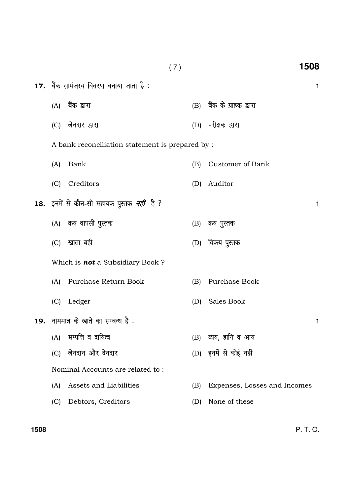|     |                                                                 | (7) | 1508                         |   |
|-----|-----------------------------------------------------------------|-----|------------------------------|---|
|     | $17.$ बैंक सामंजस्य विवरण बनाया जाता है :                       |     |                              | 1 |
|     | (A) बैंक द्वारा                                                 |     | (B) बैंक के ग्राहक द्वारा    |   |
| (C) | लेनदार द्वारा                                                   | (D) | परीक्षक द्वारा               |   |
|     | A bank reconciliation statement is prepared by :                |     |                              |   |
| (A) | Bank                                                            | (B) | Customer of Bank             |   |
| (C) | Creditors                                                       | (D) | Auditor                      |   |
|     | <b>18.</b> इनमें से कौन-सी सहायक पुस्तक <i><b>नहीं</b></i> है ? |     |                              | 1 |
|     | (A) क्रय वापसी पुस्तक                                           | (B) | क्रय पुस्तक                  |   |
| (C) | खाता बही                                                        |     | (D) विक्रय पुस्तक            |   |
|     | Which is <b>not</b> a Subsidiary Book?                          |     |                              |   |
| (A) | Purchase Return Book                                            | (B) | Purchase Book                |   |
| (C) | Ledger                                                          | (D) | Sales Book                   |   |
|     | 19. नाममात्र के खाते का सम्बन्ध है:                             |     |                              | 1 |
| (A) | सम्पत्ति व दायित्व                                              | (B) | व्यय, हानि व आय              |   |
| (C) | लेनदान और देनदार                                                |     | (D) इनमें से कोई नहीं        |   |
|     | Nominal Accounts are related to:                                |     |                              |   |
| (A) | Assets and Liabilities                                          | (B) | Expenses, Losses and Incomes |   |
| (C) | Debtors, Creditors                                              | (D) | None of these                |   |
|     |                                                                 |     |                              |   |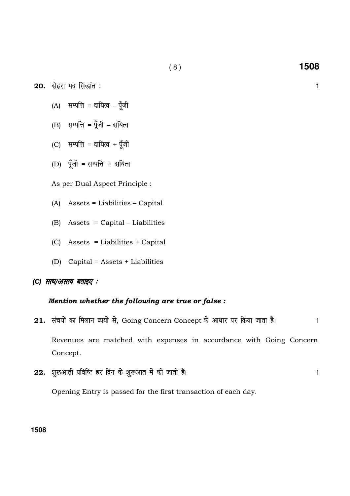$20.$  दोहरा मद सिद्धांत :  $1$ 

- $(A)$  सम्पत्ति = दायित्व पूँजी
- $(B)$  सम्पत्ति = पूँजी दायित्व
- (C) सम्पत्ति = दायित्व + पूँजी
- (D) पूँजी = सम्पत्ति + दायित्व

As per Dual Aspect Principle :

- (A) Assets = Liabilities Capital
- (B) Assets = Capital Liabilities
- (C) Assets = Liabilities + Capital
- (D) Capital = Assets + Liabilities

## (C) सत्य/असत्य बताइए :

## Mention whether the following are true or false :

- 21. संचयों का मिलान व्ययों से, Going Concern Concept के आधार पर किया जाता है। 1 Revenues are matched with expenses in accordance with Going Concern Concept.
- 22. शुरूआती प्रविष्टि हर दिन के शुरूआत में की जाती है। बाल के बाद कर साथ प्रकार के बाद पर प्रकार के बाद पर प्र

Opening Entry is passed for the first transaction of each day.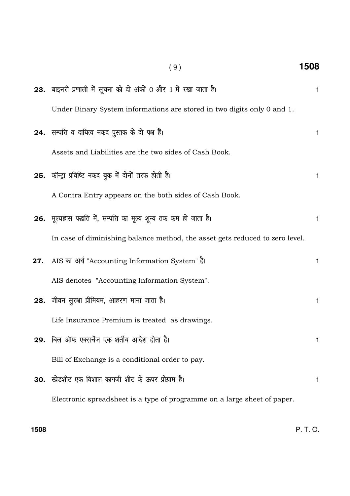| (9)                                                                          | 1508         |
|------------------------------------------------------------------------------|--------------|
| <b>23.</b> बाइनरी प्रणाली में सूचना को दो अंकों 0 और 1 में रखा जाता है।      | $\mathbf{1}$ |
| Under Binary System informations are stored in two digits only 0 and 1.      |              |
| 24. सम्पत्ति व दायित्व नकद पुस्तक के दो पक्ष हैं।                            | 1            |
| Assets and Liabilities are the two sides of Cash Book.                       |              |
| 25. कॉन्ट्रा प्रविष्टि नकद बुक में दोनों तरफ होती है।                        | 1            |
| A Contra Entry appears on the both sides of Cash Book.                       |              |
| 26. मूल्यहास पद्धति में, सम्पत्ति का मूल्य शून्य तक कम हो जाता है।           | 1            |
| In case of diminishing balance method, the asset gets reduced to zero level. |              |
| AIS का अर्थ "Accounting Information System" है।<br>27.                       | 1            |
| AIS denotes "Accounting Information System".                                 |              |
| 28. जीवन सुरक्षा प्रीमियम, आहरण माना जाता है।                                | 1            |
| Life Insurance Premium is treated as drawings.                               |              |
| 29. बिल ऑफ एक्सचेंज एक शर्तीय आदेश होता है।                                  | 1            |
| Bill of Exchange is a conditional order to pay.                              |              |
| 30. स्प्रेडशीट एक विशाल कागजी शीट के ऊपर प्रोग्राम है।                       | 1            |
| Electronic spreadsheet is a type of programme on a large sheet of paper.     |              |
|                                                                              |              |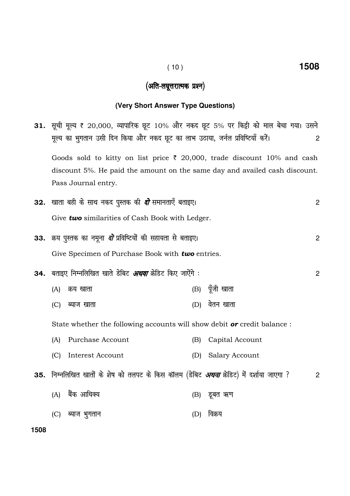# (अति-लघूत्तरात्मक प्रश्न)

# (Very Short Answer Type Questions)

|      | <b>31.</b> सूची मूल्य ₹ 20,000, व्यापारिक छूट 10% और नकद छूट 5% पर किट्टी को माल बेचा गया। उसने                                                                                         |     |                 |                |
|------|-----------------------------------------------------------------------------------------------------------------------------------------------------------------------------------------|-----|-----------------|----------------|
|      | मूल्य का भुगतान उसी दिन किया और नकद छूट का लाभ उठाया, जर्नल प्रविष्टियाँ करें।<br>2                                                                                                     |     |                 |                |
|      | Goods sold to kitty on list price $\bar{\tau}$ 20,000, trade discount 10% and cash<br>discount 5%. He paid the amount on the same day and availed cash discount.<br>Pass Journal entry. |     |                 |                |
|      | <b>32.</b> खाता बही के साथ नकद पुस्तक की <i>दो</i> समानताएँ बताइए।                                                                                                                      |     |                 | $\overline{c}$ |
|      | Give two similarities of Cash Book with Ledger.                                                                                                                                         |     |                 |                |
|      | 33. क्रय पुस्तक का नमूना <i>दो</i> प्रविष्टियों की सहायता से बताइए।                                                                                                                     |     |                 | $\overline{c}$ |
|      | Give Specimen of Purchase Book with two entries.                                                                                                                                        |     |                 |                |
|      | 34. बताइए निम्नलिखित खाते डेबिट <i>अथवा</i> क्रेडिट किए जाऐंगे :                                                                                                                        |     |                 | $\overline{c}$ |
|      | (A)<br>क्रय खाता                                                                                                                                                                        |     | (B) पूँजी खाता  |                |
|      | (C)<br>ब्याज खाता                                                                                                                                                                       | (D) | वेतन खाता       |                |
|      | State whether the following accounts will show debit <b>or</b> credit balance :                                                                                                         |     |                 |                |
|      | Purchase Account<br>(A)                                                                                                                                                                 | (B) | Capital Account |                |
|      | Interest Account<br>(C)                                                                                                                                                                 | (D) | Salary Account  |                |
|      | <b>35.</b> निम्नलिखित खातों के शेष को तलपट के किस कॉलम (डेबिट <i>अथवा</i> क्रेडिट) में दर्शाया जाएगा ?                                                                                  |     |                 | 2              |
|      | बैंक आधिक्य<br>(A)                                                                                                                                                                      |     | (B) डूबत ऋण     |                |
|      | (C) ब्याज भुगतान                                                                                                                                                                        | (D) | विक्रय          |                |
| 1508 |                                                                                                                                                                                         |     |                 |                |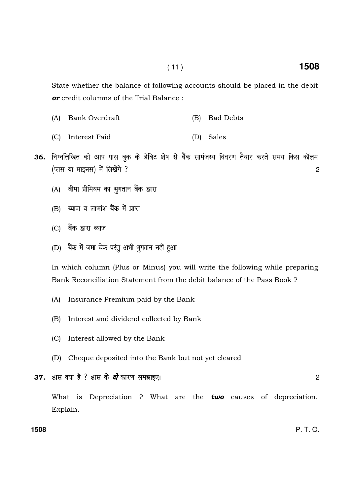State whether the balance of following accounts should be placed in the debit or credit columns of the Trial Balance :

- (A) Bank Overdraft (B) Bad Debts
- (C) Interest Paid (D) Sales
- 36. निम्नलिखित को आप पास बुक के डेबिट शेष से बैंक सामंजस्य विवरण तैयार करते समय किस कॉलम ¼Iyl ;k ekbul½ es a fy[ks axs \ 2
	- (A) बीमा प्रीमियम का भुगतान बैंक द्वारा
	- $(B)$  ब्याज व लाभांश बैंक में प्राप्त
	- (C) बैंक द्वारा ब्याज
	- (D) बैंक में जमा चेक परंतु अभी भुगतान नहीं हुआ

In which column (Plus or Minus) you will write the following while preparing Bank Reconciliation Statement from the debit balance of the Pass Book ?

- (A) Insurance Premium paid by the Bank
- (B) Interest and dividend collected by Bank
- (C) Interest allowed by the Bank
- (D) Cheque deposited into the Bank but not yet cleared
- $37.$  हास क्या है ? हास के *दो* कारण समझाइए। संस्था के साथ समझाईए।

What is Depreciation ? What are the two causes of depreciation. Explain.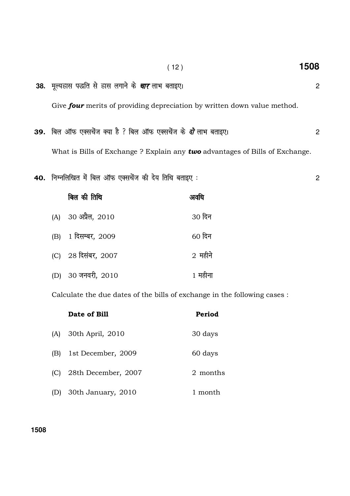- **38.** ewY;Ðkl i)fr ls Ðkl yxkus d s pkj ykHk crkb,A <sup>2</sup> Give four merits of providing depreciation by written down value method.
- 39. fcy vkWQ ,Dlpsat D;k gS \ fcy vkWQ ,Dlpsat ds nks ykHk crkb,A 2 What is Bills of Exchange ? Explain any two advantages of Bills of Exchange.
- 40. निम्नलिखित में बिल ऑफ एक्सचेंज की देय तिथि बताइए : which is a fact to the new set of 2

| बिल की तिथि         | अवर्धि    |
|---------------------|-----------|
| (A) 30 अप्रैल, 2010 | 30 दिन    |
| (B) 1 दिसम्बर, 2009 | $60$ दिन  |
| (C) 28 दिसंबर, 2007 | $2$ महीने |
| (D) 30 जनवरी, 2010  | 1 महीना   |

Calculate the due dates of the bills of exchange in the following cases :

|     | Date of Bill        | Period   |
|-----|---------------------|----------|
| (A) | 30th April, 2010    | 30 days  |
| (B) | 1st December, 2009  | 60 days  |
| (C) | 28th December, 2007 | 2 months |
| (D) | 30th January, 2010  | 1 month  |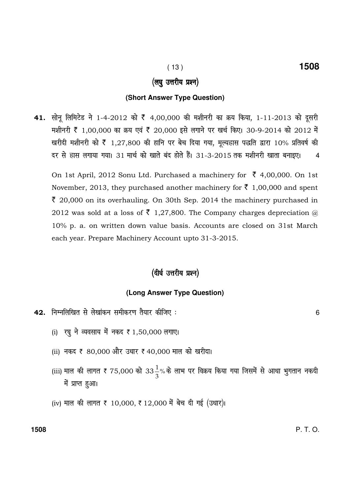## (लघु उत्तरीय प्रश्न)

## **(Short Answer Type Question)**

41. सोनू लिमिटेड ने 1-4-2012 को ₹ 4,00,000 की मशीनरी का क्रय किया, 1-11-2013 को दूसरी मशीनरी ₹ 1,00,000 का क्रय एवं ₹ 20,000 इसे लगाने पर खर्च किए। 30-9-2014 को 2012 में खरीदी मशीनरी को ₹ 1,27,800 की हानि पर बेच दिया गया, मूल्यहास पद्धति द्वारा 10% प्रतिवर्ष की दर से हास लगाया गया। 31 मार्च को खाते बंद होते हैं। 31-3-2015 तक मशीनरी खाता बनाइए। 4

On 1st April, 2012 Sonu Ltd. Purchased a machinery for  $\bar{\zeta}$  4,00,000. On 1st November, 2013, they purchased another machinery for  $\bar{\tau}$  1,00,000 and spent  $\bar{\xi}$  20,000 on its overhauling. On 30th Sep. 2014 the machinery purchased in 2012 was sold at a loss of  $\bar{\tau}$  1,27,800. The Company charges depreciation  $\bar{\omega}$ 10% p. a. on written down value basis. Accounts are closed on 31st March each year. Prepare Machinery Account upto 31-3-2015.

## (दीर्घ उत्तरीय प्रश्न)

## **(Long Answer Type Question)**

- $\bf 42.$ ानिम्नलिखित से लेखांकन समीकरण तैयार कीजिए :  $\bf 6$ 
	- (i) रघु ने व्यवसाय में नकद ₹ 1,50,000 लगाए।
	- (ii) नकद ₹ 80,000 और उधार ₹ 40,000 माल को खरीदा।
	- (iii) माल की लागत ₹ 75,000 को 33 $\frac{1}{3}$ %  $\frac{1}{\sigma}$ % के लाभ पर विक्रय किया गया जिसमें से आधा भुगतान नकदी में प्राप्त हुआ।
	- (iv) माल की लागत ₹ 10,000, ₹ 12,000 में बेच दी गई (उधार)।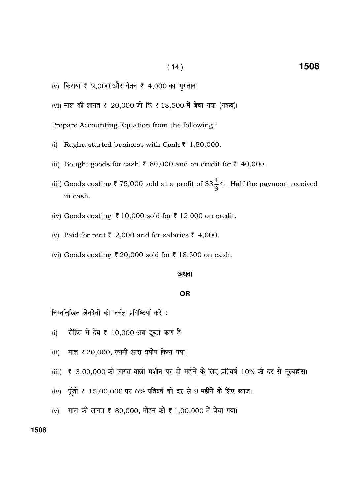- (v) किराया ₹ 2,000 और वेतन ₹ 4,000 का भुगतान।
- (vi) माल की लागत ₹ 20,000 जो कि ₹ 18,500 में बेचा गया (नकद)।

Prepare Accounting Equation from the following:

- (i) Raghu started business with Cash  $\bar{z}$  1,50,000.
- (ii) Bought goods for cash  $\bar{\tau}$  80,000 and on credit for  $\bar{\tau}$  40,000.
- (iii) Goods costing  $\bar{\tau}$  75,000 sold at a profit of 33 $\frac{1}{3}$ %. Half the payment received in cash.
- (iv) Goods costing ₹10,000 sold for ₹12,000 on credit.
- (v) Paid for rent ₹ 2,000 and for salaries ₹ 4,000.
- (vi) Goods costing ₹ 20,000 sold for ₹ 18,500 on cash.

#### अथवा

## **OR**

निम्नलिखित लेनदेनों की जर्नल प्रविष्टियाँ करें:

- रोहित से देय ₹ 10,000 अब डूबत ऋण हैं।  $(i)$
- माल ₹ 20,000, स्वामी द्वारा प्रयोग किया गया।  $(ii)$
- (iii) ₹ 3,00,000 की लागत वाली मशीन पर दो महीने के लिए प्रतिवर्ष 10% की दर से मूल्यहास।
- (iv) पूँजी ₹ 15,00,000 पर 6% प्रतिवर्ष की दर से 9 महीने के लिए ब्याज।
- (v) माल की लागत ₹ 80,000, मोहन को ₹ 1,00,000 में बेचा गया।